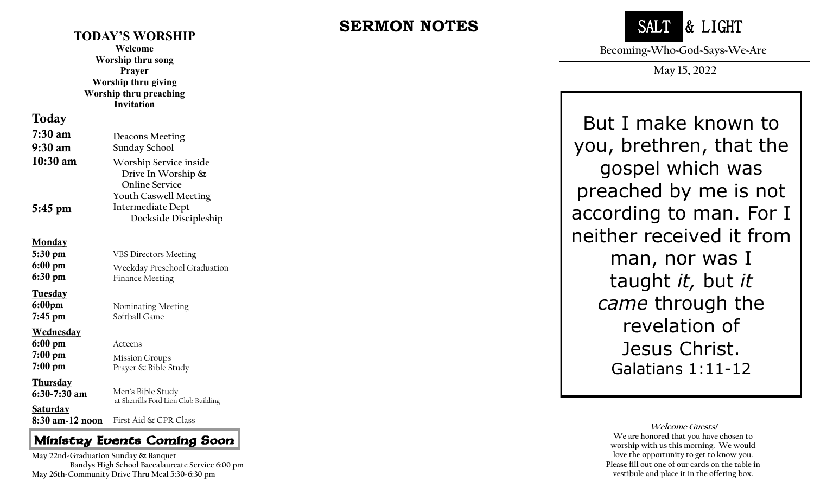## **TODAY'S WORSHIP**

**Welcome Worship thru song Prayer Worship thru giving Worship thru preaching Invitation**

Today

| 7:30 am<br>9:30 am                                                                                               | <b>Deacons Meeting</b><br>Sunday School                                                                                                             |
|------------------------------------------------------------------------------------------------------------------|-----------------------------------------------------------------------------------------------------------------------------------------------------|
| $10:30$ am<br>5:45 pm                                                                                            | Worship Service inside<br>Drive In Worship &<br><b>Online Service</b><br><b>Youth Caswell Meeting</b><br>Intermediate Dept<br>Dockside Discipleship |
| <u>Monday</u><br>5:30 pm<br>$6:00 \text{ pm}$<br>$6:30 \text{ pm}$                                               | <b>VBS Directors Meeting</b><br>Weekday Preschool Graduation<br><b>Finance Meeting</b>                                                              |
| <b>Tuesday</b><br>$6:00 \text{pm}$<br>$7:45$ pm                                                                  | Nominating Meeting<br>Softball Game                                                                                                                 |
| <b>Wednesday</b><br>$6:00 \text{ pm}$<br>$7:00~\text{pm}$<br>$7:00~\text{pm}$<br><b>Thursday</b><br>6:30-7:30 am | Acteens<br><b>Mission Groups</b><br>Prayer & Bible Study<br>Men's Bible Study                                                                       |
| <u>Saturday</u><br>8:30 am-12 noon                                                                               | at Sherrills Ford Lion Club Building<br>First Aid & CPR Class                                                                                       |

## Ministry Events Coming Soon

 **May 22nd -Graduation Sunday & Banquet Bandys High School Baccalaureate Service 6:00 pm May 26th -Community Drive Thru Meal 5:30 -6:30 pm**

# **SERMON NOTES**



**Becoming~Who~God~Says~We~Are**

**May 15, 2022**

But I make known to you, brethren, that the gospel which was preached by me is not according to man. For I neither received it from man, nor was I taught *it,* but *it came* through the revelation of Jesus Christ. Galatians 1:11 -12

> **Welcome Guests! We are honored that you have chosen to worship with us this morning. We would love the opportunity to get to know you. Please fill out one of our cards on the table in vestibule and place it in the offering box.**